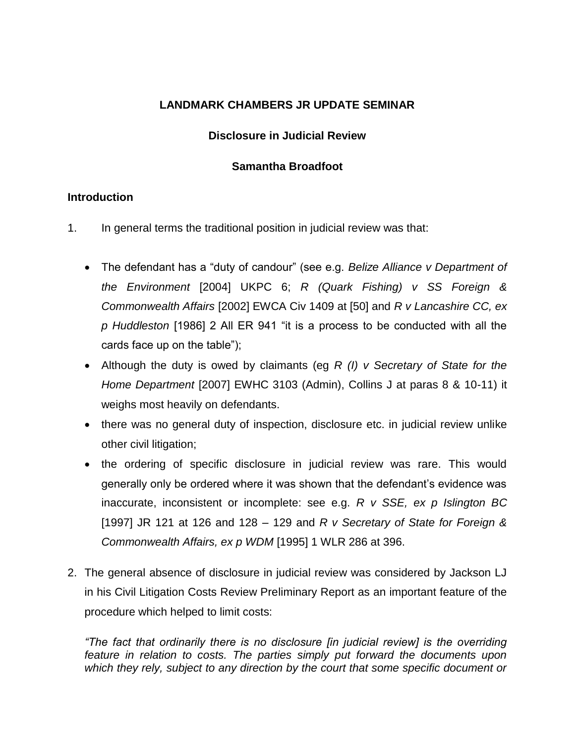# **LANDMARK CHAMBERS JR UPDATE SEMINAR**

## **Disclosure in Judicial Review**

## **Samantha Broadfoot**

## **Introduction**

- 1. In general terms the traditional position in judicial review was that:
	- The defendant has a "duty of candour" (see e.g. *Belize Alliance v Department of the Environment* [2004] UKPC 6; *R (Quark Fishing) v SS Foreign & Commonwealth Affairs* [2002] EWCA Civ 1409 at [50] and *R v Lancashire CC, ex p Huddleston* [1986] 2 All ER 941 "it is a process to be conducted with all the cards face up on the table");
	- Although the duty is owed by claimants (eg *R (I) v Secretary of State for the Home Department* [2007] EWHC 3103 (Admin), Collins J at paras 8 & 10-11) it weighs most heavily on defendants.
	- there was no general duty of inspection, disclosure etc. in judicial review unlike other civil litigation;
	- the ordering of specific disclosure in judicial review was rare. This would generally only be ordered where it was shown that the defendant's evidence was inaccurate, inconsistent or incomplete: see e.g. *R v SSE, ex p Islington BC* [1997] JR 121 at 126 and 128 – 129 and *R v Secretary of State for Foreign & Commonwealth Affairs, ex p WDM* [1995] 1 WLR 286 at 396.
- 2. The general absence of disclosure in judicial review was considered by Jackson LJ in his Civil Litigation Costs Review Preliminary Report as an important feature of the procedure which helped to limit costs:

*"The fact that ordinarily there is no disclosure [in judicial review] is the overriding feature in relation to costs. The parties simply put forward the documents upon which they rely, subject to any direction by the court that some specific document or*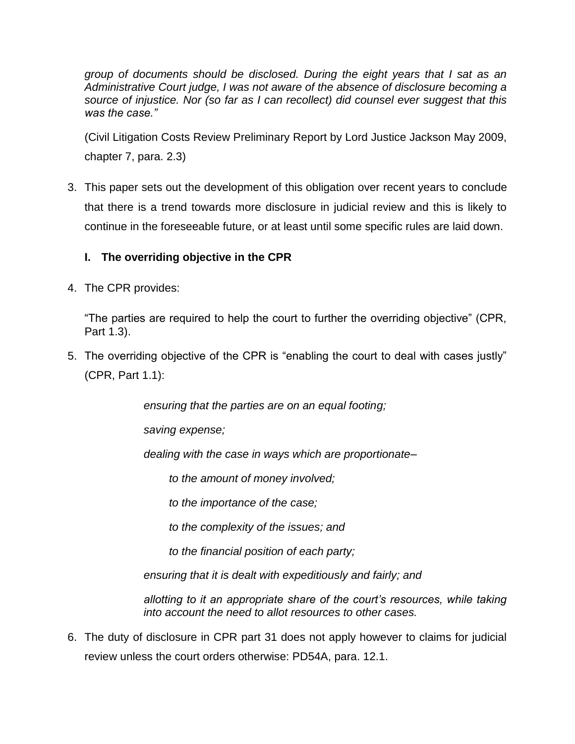*group of documents should be disclosed. During the eight years that I sat as an Administrative Court judge, I was not aware of the absence of disclosure becoming a source of injustice. Nor (so far as I can recollect) did counsel ever suggest that this was the case."*

(Civil Litigation Costs Review Preliminary Report by Lord Justice Jackson May 2009, chapter 7, para. 2.3)

3. This paper sets out the development of this obligation over recent years to conclude that there is a trend towards more disclosure in judicial review and this is likely to continue in the foreseeable future, or at least until some specific rules are laid down.

# **I. The overriding objective in the CPR**

4. The CPR provides:

"The parties are required to help the court to further the overriding objective" (CPR, Part 1.3).

5. The overriding objective of the CPR is "enabling the court to deal with cases justly" (CPR, Part 1.1):

*ensuring that the parties are on an equal footing;*

*saving expense;*

*dealing with the case in ways which are proportionate–*

*to the amount of money involved;*

*to the importance of the case;*

*to the complexity of the issues; and*

*to the financial position of each party;*

*ensuring that it is dealt with expeditiously and fairly; and*

*allotting to it an appropriate share of the court's resources, while taking into account the need to allot resources to other cases.*

6. The duty of disclosure in CPR part 31 does not apply however to claims for judicial review unless the court orders otherwise: PD54A, para. 12.1.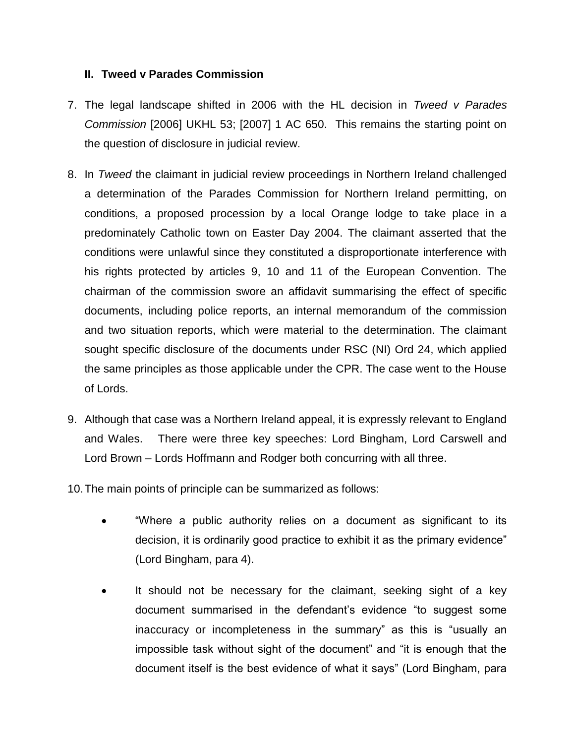## **II. Tweed v Parades Commission**

- 7. The legal landscape shifted in 2006 with the HL decision in *Tweed v Parades Commission* [2006] UKHL 53; [2007] 1 AC 650. This remains the starting point on the question of disclosure in judicial review.
- 8. In *Tweed* the claimant in judicial review proceedings in Northern Ireland challenged a determination of the Parades Commission for Northern Ireland permitting, on conditions, a proposed procession by a local Orange lodge to take place in a predominately Catholic town on Easter Day 2004. The claimant asserted that the conditions were unlawful since they constituted a disproportionate interference with his rights protected by articles 9, 10 and 11 of the European Convention. The chairman of the commission swore an affidavit summarising the effect of specific documents, including police reports, an internal memorandum of the commission and two situation reports, which were material to the determination. The claimant sought specific disclosure of the documents under RSC (NI) Ord 24, which applied the same principles as those applicable under the CPR. The case went to the House of Lords.
- 9. Although that case was a Northern Ireland appeal, it is expressly relevant to England and Wales. There were three key speeches: Lord Bingham, Lord Carswell and Lord Brown – Lords Hoffmann and Rodger both concurring with all three.
- 10.The main points of principle can be summarized as follows:
	- "Where a public authority relies on a document as significant to its decision, it is ordinarily good practice to exhibit it as the primary evidence" (Lord Bingham, para 4).
	- It should not be necessary for the claimant, seeking sight of a key document summarised in the defendant's evidence "to suggest some inaccuracy or incompleteness in the summary" as this is "usually an impossible task without sight of the document" and "it is enough that the document itself is the best evidence of what it says" (Lord Bingham, para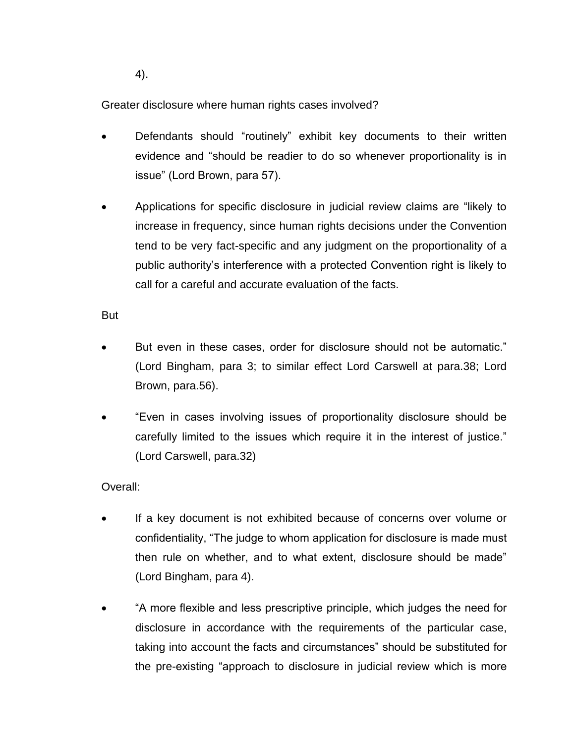4).

Greater disclosure where human rights cases involved?

- Defendants should "routinely" exhibit key documents to their written evidence and "should be readier to do so whenever proportionality is in issue" (Lord Brown, para 57).
- Applications for specific disclosure in judicial review claims are "likely to increase in frequency, since human rights decisions under the Convention tend to be very fact-specific and any judgment on the proportionality of a public authority's interference with a protected Convention right is likely to call for a careful and accurate evaluation of the facts.

But

- But even in these cases, order for disclosure should not be automatic." (Lord Bingham, para 3; to similar effect Lord Carswell at para.38; Lord Brown, para.56).
- "Even in cases involving issues of proportionality disclosure should be carefully limited to the issues which require it in the interest of justice." (Lord Carswell, para.32)

# Overall:

- If a key document is not exhibited because of concerns over volume or confidentiality, "The judge to whom application for disclosure is made must then rule on whether, and to what extent, disclosure should be made" (Lord Bingham, para 4).
- "A more flexible and less prescriptive principle, which judges the need for disclosure in accordance with the requirements of the particular case, taking into account the facts and circumstances" should be substituted for the pre-existing "approach to disclosure in judicial review which is more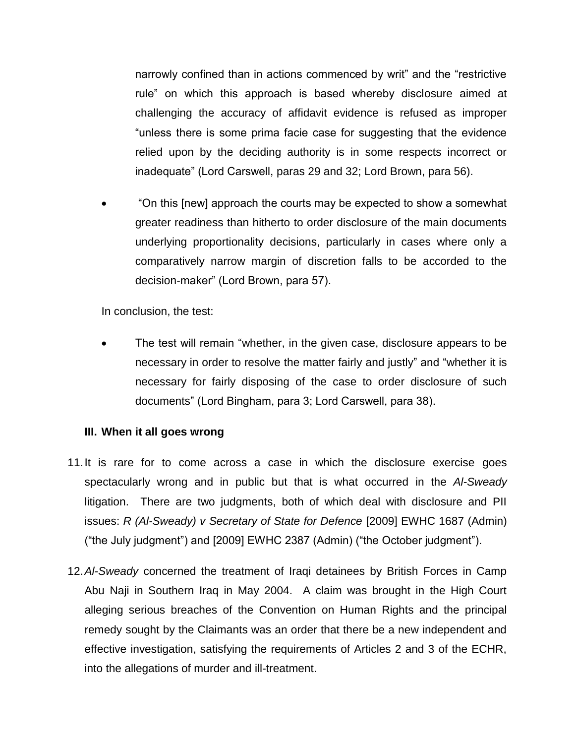narrowly confined than in actions commenced by writ" and the "restrictive rule" on which this approach is based whereby disclosure aimed at challenging the accuracy of affidavit evidence is refused as improper "unless there is some prima facie case for suggesting that the evidence relied upon by the deciding authority is in some respects incorrect or inadequate" (Lord Carswell, paras 29 and 32; Lord Brown, para 56).

 "On this [new] approach the courts may be expected to show a somewhat greater readiness than hitherto to order disclosure of the main documents underlying proportionality decisions, particularly in cases where only a comparatively narrow margin of discretion falls to be accorded to the decision-maker" (Lord Brown, para 57).

In conclusion, the test:

 The test will remain "whether, in the given case, disclosure appears to be necessary in order to resolve the matter fairly and justly" and "whether it is necessary for fairly disposing of the case to order disclosure of such documents" (Lord Bingham, para 3; Lord Carswell, para 38).

# **III. When it all goes wrong**

- 11.It is rare for to come across a case in which the disclosure exercise goes spectacularly wrong and in public but that is what occurred in the *Al-Sweady*  litigation. There are two judgments, both of which deal with disclosure and PII issues: *R (Al-Sweady) v Secretary of State for Defence* [2009] EWHC 1687 (Admin) ("the July judgment") and [2009] EWHC 2387 (Admin) ("the October judgment").
- 12.*Al-Sweady* concerned the treatment of Iraqi detainees by British Forces in Camp Abu Naji in Southern Iraq in May 2004. A claim was brought in the High Court alleging serious breaches of the Convention on Human Rights and the principal remedy sought by the Claimants was an order that there be a new independent and effective investigation, satisfying the requirements of Articles 2 and 3 of the ECHR, into the allegations of murder and ill-treatment.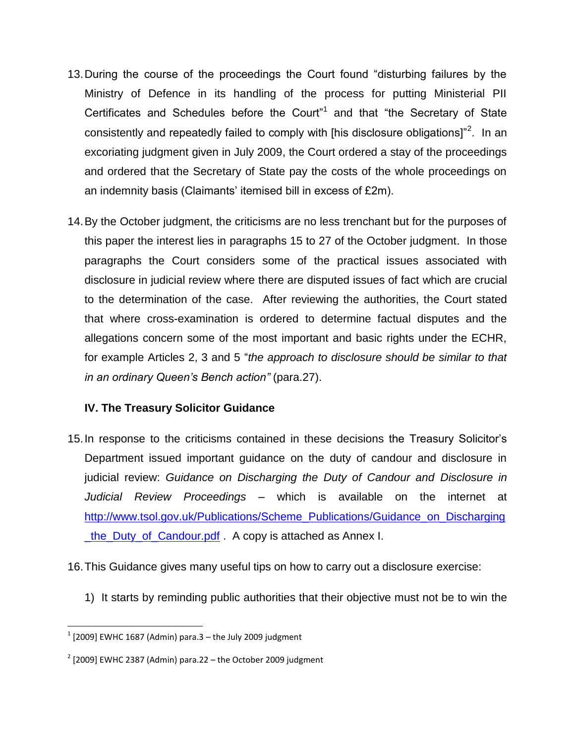- 13.During the course of the proceedings the Court found "disturbing failures by the Ministry of Defence in its handling of the process for putting Ministerial PII Certificates and Schedules before the Court<sup>"1</sup> and that "the Secretary of State consistently and repeatedly failed to comply with [his disclosure obligations]"<sup>2</sup>. In an excoriating judgment given in July 2009, the Court ordered a stay of the proceedings and ordered that the Secretary of State pay the costs of the whole proceedings on an indemnity basis (Claimants' itemised bill in excess of £2m).
- 14.By the October judgment, the criticisms are no less trenchant but for the purposes of this paper the interest lies in paragraphs 15 to 27 of the October judgment. In those paragraphs the Court considers some of the practical issues associated with disclosure in judicial review where there are disputed issues of fact which are crucial to the determination of the case. After reviewing the authorities, the Court stated that where cross-examination is ordered to determine factual disputes and the allegations concern some of the most important and basic rights under the ECHR, for example Articles 2, 3 and 5 "*the approach to disclosure should be similar to that in an ordinary Queen's Bench action"* (para.27).

# **IV. The Treasury Solicitor Guidance**

- 15.In response to the criticisms contained in these decisions the Treasury Solicitor's Department issued important guidance on the duty of candour and disclosure in judicial review: *Guidance on Discharging the Duty of Candour and Disclosure in Judicial Review Proceedings* – which is available on the internet at [http://www.tsol.gov.uk/Publications/Scheme\\_Publications/Guidance\\_on\\_Discharging](http://www.tsol.gov.uk/Publications/Scheme_Publications/Guidance_on_Discharging_the_Duty_of_Candour.pdf) [\\_the\\_Duty\\_of\\_Candour.pdf](http://www.tsol.gov.uk/Publications/Scheme_Publications/Guidance_on_Discharging_the_Duty_of_Candour.pdf) . A copy is attached as Annex I.
- 16.This Guidance gives many useful tips on how to carry out a disclosure exercise:
	- 1) It starts by reminding public authorities that their objective must not be to win the

 1 [2009] EWHC 1687 (Admin) para.3 – the July 2009 judgment

 $2$  [2009] EWHC 2387 (Admin) para.22 – the October 2009 judgment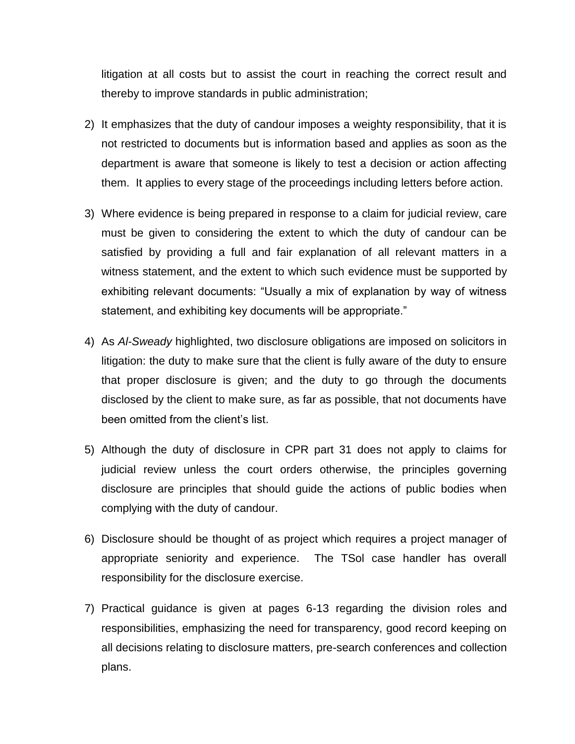litigation at all costs but to assist the court in reaching the correct result and thereby to improve standards in public administration;

- 2) It emphasizes that the duty of candour imposes a weighty responsibility, that it is not restricted to documents but is information based and applies as soon as the department is aware that someone is likely to test a decision or action affecting them. It applies to every stage of the proceedings including letters before action.
- 3) Where evidence is being prepared in response to a claim for judicial review, care must be given to considering the extent to which the duty of candour can be satisfied by providing a full and fair explanation of all relevant matters in a witness statement, and the extent to which such evidence must be supported by exhibiting relevant documents: "Usually a mix of explanation by way of witness statement, and exhibiting key documents will be appropriate."
- 4) As *Al-Sweady* highlighted, two disclosure obligations are imposed on solicitors in litigation: the duty to make sure that the client is fully aware of the duty to ensure that proper disclosure is given; and the duty to go through the documents disclosed by the client to make sure, as far as possible, that not documents have been omitted from the client's list.
- 5) Although the duty of disclosure in CPR part 31 does not apply to claims for judicial review unless the court orders otherwise, the principles governing disclosure are principles that should guide the actions of public bodies when complying with the duty of candour.
- 6) Disclosure should be thought of as project which requires a project manager of appropriate seniority and experience. The TSol case handler has overall responsibility for the disclosure exercise.
- 7) Practical guidance is given at pages 6-13 regarding the division roles and responsibilities, emphasizing the need for transparency, good record keeping on all decisions relating to disclosure matters, pre-search conferences and collection plans.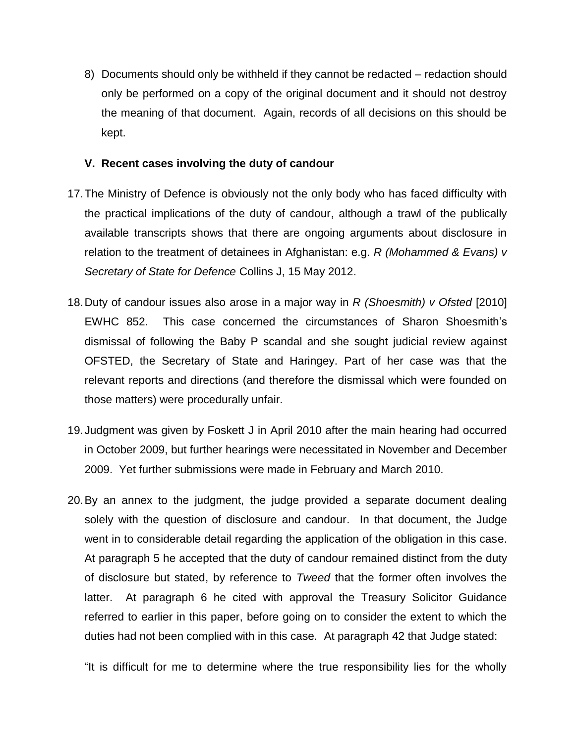8) Documents should only be withheld if they cannot be redacted – redaction should only be performed on a copy of the original document and it should not destroy the meaning of that document. Again, records of all decisions on this should be kept.

### **V. Recent cases involving the duty of candour**

- 17.The Ministry of Defence is obviously not the only body who has faced difficulty with the practical implications of the duty of candour, although a trawl of the publically available transcripts shows that there are ongoing arguments about disclosure in relation to the treatment of detainees in Afghanistan: e.g. *R (Mohammed & Evans) v Secretary of State for Defence* Collins J, 15 May 2012.
- 18.Duty of candour issues also arose in a major way in *R (Shoesmith) v Ofsted* [2010] EWHC 852. This case concerned the circumstances of Sharon Shoesmith's dismissal of following the Baby P scandal and she sought judicial review against OFSTED, the Secretary of State and Haringey. Part of her case was that the relevant reports and directions (and therefore the dismissal which were founded on those matters) were procedurally unfair.
- 19.Judgment was given by Foskett J in April 2010 after the main hearing had occurred in October 2009, but further hearings were necessitated in November and December 2009. Yet further submissions were made in February and March 2010.
- 20.By an annex to the judgment, the judge provided a separate document dealing solely with the question of disclosure and candour. In that document, the Judge went in to considerable detail regarding the application of the obligation in this case. At paragraph 5 he accepted that the duty of candour remained distinct from the duty of disclosure but stated, by reference to *Tweed* that the former often involves the latter. At paragraph 6 he cited with approval the Treasury Solicitor Guidance referred to earlier in this paper, before going on to consider the extent to which the duties had not been complied with in this case. At paragraph 42 that Judge stated:

"It is difficult for me to determine where the true responsibility lies for the wholly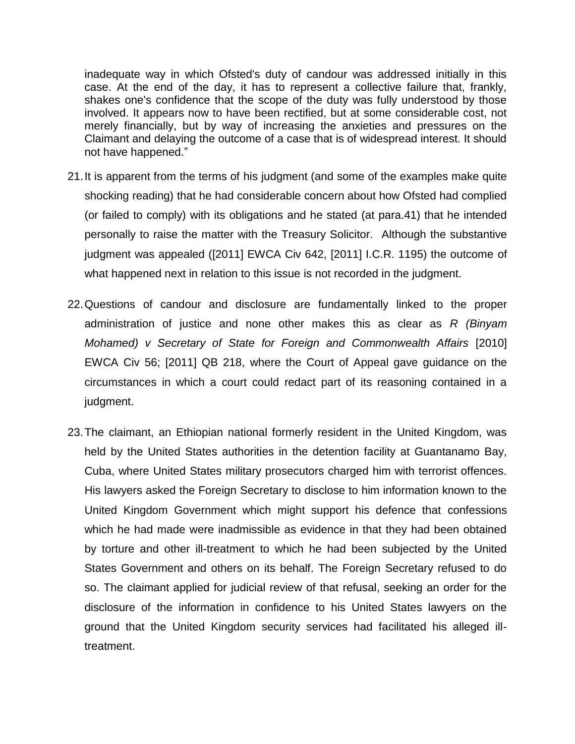inadequate way in which Ofsted's duty of candour was addressed initially in this case. At the end of the day, it has to represent a collective failure that, frankly, shakes one's confidence that the scope of the duty was fully understood by those involved. It appears now to have been rectified, but at some considerable cost, not merely financially, but by way of increasing the anxieties and pressures on the Claimant and delaying the outcome of a case that is of widespread interest. It should not have happened."

- 21.It is apparent from the terms of his judgment (and some of the examples make quite shocking reading) that he had considerable concern about how Ofsted had complied (or failed to comply) with its obligations and he stated (at para.41) that he intended personally to raise the matter with the Treasury Solicitor. Although the substantive judgment was appealed ([2011] EWCA Civ 642, [2011] I.C.R. 1195) the outcome of what happened next in relation to this issue is not recorded in the judgment.
- 22.Questions of candour and disclosure are fundamentally linked to the proper administration of justice and none other makes this as clear as *R (Binyam Mohamed) v Secretary of State for Foreign and Commonwealth Affairs* [2010] EWCA Civ 56; [2011] QB 218, where the Court of Appeal gave guidance on the circumstances in which a court could redact part of its reasoning contained in a judgment.
- 23.The claimant, an Ethiopian national formerly resident in the United Kingdom, was held by the United States authorities in the detention facility at Guantanamo Bay, Cuba, where United States military prosecutors charged him with terrorist offences. His lawyers asked the Foreign Secretary to disclose to him information known to the United Kingdom Government which might support his defence that confessions which he had made were inadmissible as evidence in that they had been obtained by torture and other ill-treatment to which he had been subjected by the United States Government and others on its behalf. The Foreign Secretary refused to do so. The claimant applied for judicial review of that refusal, seeking an order for the disclosure of the information in confidence to his United States lawyers on the ground that the United Kingdom security services had facilitated his alleged illtreatment.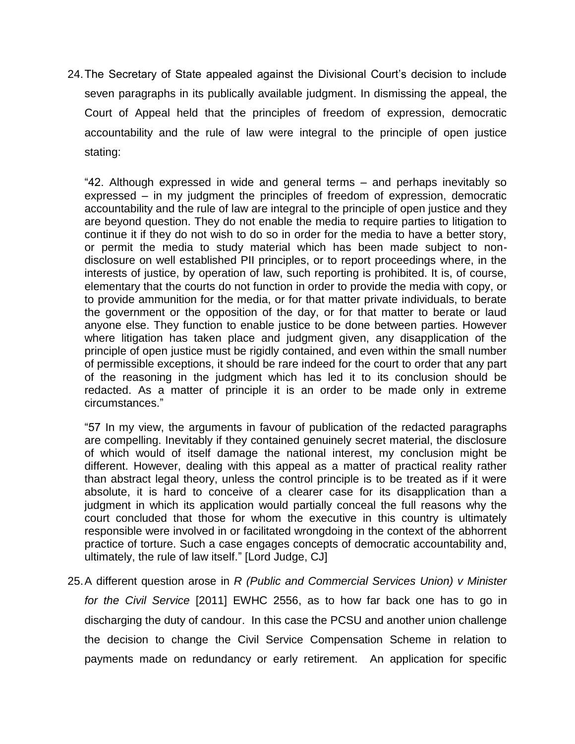24.The Secretary of State appealed against the Divisional Court's decision to include seven paragraphs in its publically available judgment. In dismissing the appeal, the Court of Appeal held that the principles of freedom of expression, democratic accountability and the rule of law were integral to the principle of open justice stating:

"42. Although expressed in wide and general terms – and perhaps inevitably so expressed – in my judgment the principles of freedom of expression, democratic accountability and the rule of law are integral to the principle of open justice and they are beyond question. They do not enable the media to require parties to litigation to continue it if they do not wish to do so in order for the media to have a better story, or permit the media to study material which has been made subject to nondisclosure on well established PII principles, or to report proceedings where, in the interests of justice, by operation of law, such reporting is prohibited. It is, of course, elementary that the courts do not function in order to provide the media with copy, or to provide ammunition for the media, or for that matter private individuals, to berate the government or the opposition of the day, or for that matter to berate or laud anyone else. They function to enable justice to be done between parties. However where litigation has taken place and judgment given, any disapplication of the principle of open justice must be rigidly contained, and even within the small number of permissible exceptions, it should be rare indeed for the court to order that any part of the reasoning in the judgment which has led it to its conclusion should be redacted. As a matter of principle it is an order to be made only in extreme circumstances."

"57 In my view, the arguments in favour of publication of the redacted paragraphs are compelling. Inevitably if they contained genuinely secret material, the disclosure of which would of itself damage the national interest, my conclusion might be different. However, dealing with this appeal as a matter of practical reality rather than abstract legal theory, unless the control principle is to be treated as if it were absolute, it is hard to conceive of a clearer case for its disapplication than a judgment in which its application would partially conceal the full reasons why the court concluded that those for whom the executive in this country is ultimately responsible were involved in or facilitated wrongdoing in the context of the abhorrent practice of torture. Such a case engages concepts of democratic accountability and, ultimately, the rule of law itself." [Lord Judge, CJ]

25.A different question arose in *R (Public and Commercial Services Union) v Minister for the Civil Service* [2011] EWHC 2556, as to how far back one has to go in discharging the duty of candour. In this case the PCSU and another union challenge the decision to change the Civil Service Compensation Scheme in relation to payments made on redundancy or early retirement. An application for specific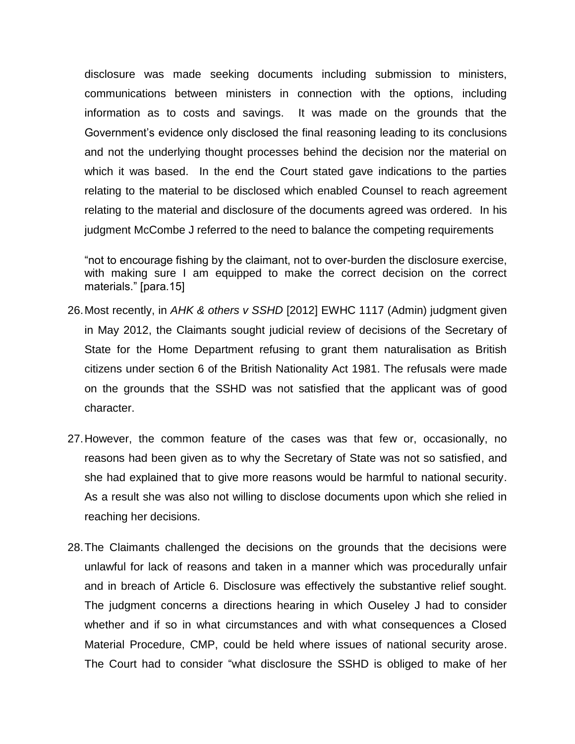disclosure was made seeking documents including submission to ministers, communications between ministers in connection with the options, including information as to costs and savings. It was made on the grounds that the Government's evidence only disclosed the final reasoning leading to its conclusions and not the underlying thought processes behind the decision nor the material on which it was based. In the end the Court stated gave indications to the parties relating to the material to be disclosed which enabled Counsel to reach agreement relating to the material and disclosure of the documents agreed was ordered. In his judgment McCombe J referred to the need to balance the competing requirements

"not to encourage fishing by the claimant, not to over-burden the disclosure exercise, with making sure I am equipped to make the correct decision on the correct materials." [para.15]

- 26.Most recently, in *AHK & others v SSHD* [2012] EWHC 1117 (Admin) judgment given in May 2012, the Claimants sought judicial review of decisions of the Secretary of State for the Home Department refusing to grant them naturalisation as British citizens under section 6 of the British Nationality Act 1981. The refusals were made on the grounds that the SSHD was not satisfied that the applicant was of good character.
- 27.However, the common feature of the cases was that few or, occasionally, no reasons had been given as to why the Secretary of State was not so satisfied, and she had explained that to give more reasons would be harmful to national security. As a result she was also not willing to disclose documents upon which she relied in reaching her decisions.
- 28.The Claimants challenged the decisions on the grounds that the decisions were unlawful for lack of reasons and taken in a manner which was procedurally unfair and in breach of Article 6. Disclosure was effectively the substantive relief sought. The judgment concerns a directions hearing in which Ouseley J had to consider whether and if so in what circumstances and with what consequences a Closed Material Procedure, CMP, could be held where issues of national security arose. The Court had to consider "what disclosure the SSHD is obliged to make of her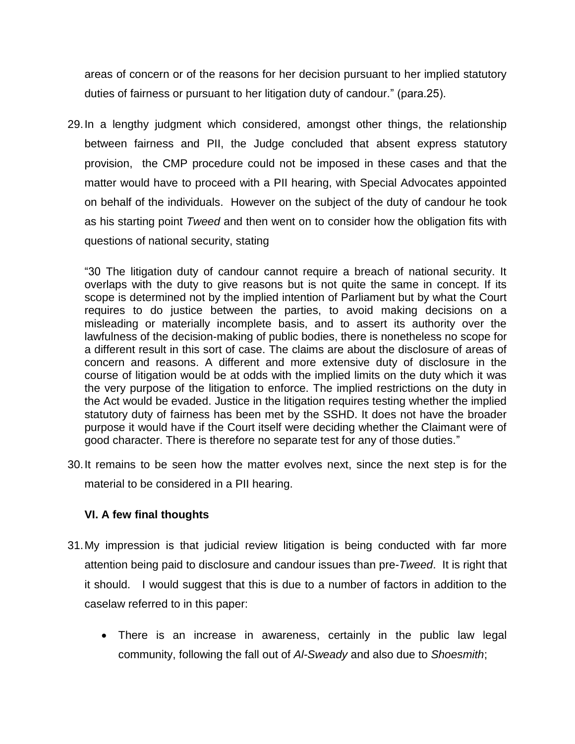areas of concern or of the reasons for her decision pursuant to her implied statutory duties of fairness or pursuant to her litigation duty of candour." (para.25).

29.In a lengthy judgment which considered, amongst other things, the relationship between fairness and PII, the Judge concluded that absent express statutory provision, the CMP procedure could not be imposed in these cases and that the matter would have to proceed with a PII hearing, with Special Advocates appointed on behalf of the individuals. However on the subject of the duty of candour he took as his starting point *Tweed* and then went on to consider how the obligation fits with questions of national security, stating

"30 The litigation duty of candour cannot require a breach of national security. It overlaps with the duty to give reasons but is not quite the same in concept. If its scope is determined not by the implied intention of Parliament but by what the Court requires to do justice between the parties, to avoid making decisions on a misleading or materially incomplete basis, and to assert its authority over the lawfulness of the decision-making of public bodies, there is nonetheless no scope for a different result in this sort of case. The claims are about the disclosure of areas of concern and reasons. A different and more extensive duty of disclosure in the course of litigation would be at odds with the implied limits on the duty which it was the very purpose of the litigation to enforce. The implied restrictions on the duty in the Act would be evaded. Justice in the litigation requires testing whether the implied statutory duty of fairness has been met by the SSHD. It does not have the broader purpose it would have if the Court itself were deciding whether the Claimant were of good character. There is therefore no separate test for any of those duties."

30.It remains to be seen how the matter evolves next, since the next step is for the material to be considered in a PII hearing.

# **VI. A few final thoughts**

- 31.My impression is that judicial review litigation is being conducted with far more attention being paid to disclosure and candour issues than pre-*Tweed*. It is right that it should. I would suggest that this is due to a number of factors in addition to the caselaw referred to in this paper:
	- There is an increase in awareness, certainly in the public law legal community, following the fall out of *Al-Sweady* and also due to *Shoesmith*;